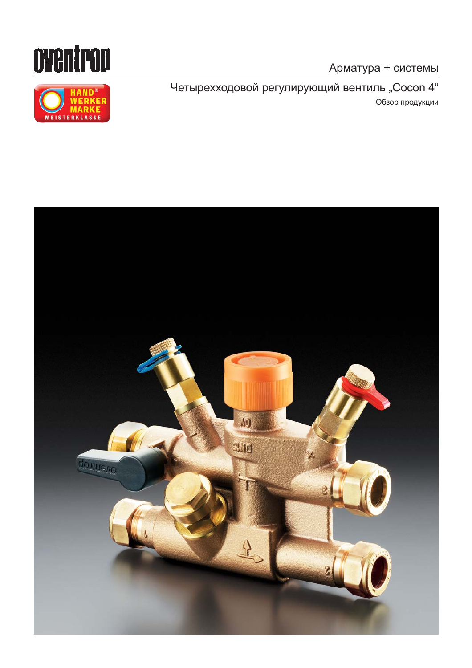

Четырехходовой регулирующий вентиль "Cocon 4" Обзор продукции



oventrop

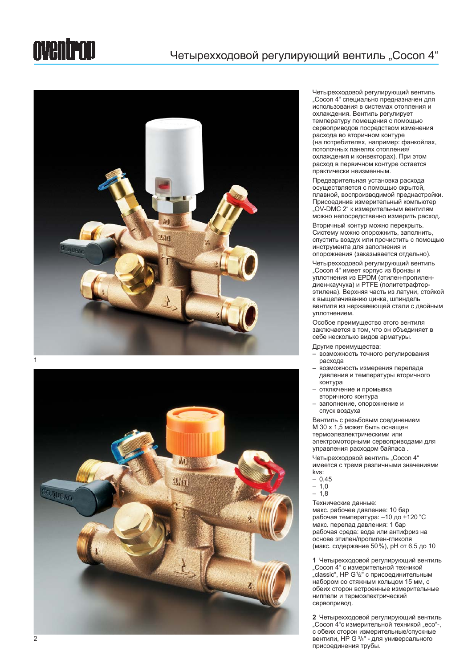### oventrop





Четырехходовой регулирующий вентиль "Сосоп 4" специально предназначен для использования в системах отопления и охлаждения. Вентиль регулирует Teмпературу помещения с помощью сервоприводов посредством изменения расхода во вторичном контуре (на потребителях, например: фанкойлах, потолочных панелях отопления/ нетов в истов и конвекторах). При этом расход в первичном контуре остается практически неизменным.

Предварительная установка расхода осуществляется с помощью скрытой, плавной, воспроизводимой преднастройки. Присоединив измерительный компьютер "OV-DMC 2" к измерительным вентилям можно непосредственно измерить расход.

Вторичный контур можно перекрыть. Систему можно опорожнить, заполнить, спустить воздух или прочистить с помощью инструмента для заполнения и опорожнения (заказывается отдельно).

Четырехходовой регулирующий вентиль "Сосоп 4" имеет корпус из бронзы и уплотнения из EPDM (этилен-пропилендиен-каучука) и РТFE (политетрафторэтилена). Верхняя часть из латуни, стойкой к выщелачиванию цинка, шпиндель вентиля из нержавеющей стали с двойным уплотнением.

Особое преимущество этого вентиля заключается в том, что он объединяет в себе несколько видов арматуры.

Другие преимущества:

- …<br>• возможность точного регулирования pacxoла
- возможность измерения перепада давления и температуры вторичного контура
- отключение и промывка
- **BTODINHOTO KOHTVDA**
- заполнение, опорожнение и спуск воздуха

Вентиль с резьбовым соединением M 30 x 1,5 может быть оснащен термоэлеэлектрическими или электромоторными сервоприводами для управления расходом байпаса.

Четырехходовой вентиль "Cocon 4" имеется с тремя различными значениями kvs:

- 0,45
- $-1,0$
- 1,8

Технические данные: макс. рабочее давление: 10 бар рабочая температура: - 10 до +120 °С макс. перепад давления: 1 бар рабочая среда: вода или антифриз на основе этилен/пропилен-гликоля (макс. содержание 50%), рН от 6,5 до 10

1 Четырехходовой регулирующий вентиль "Cocon 4" с измерительной техникой "classic", HP G1/2" с присоединительным набором со стяжным кольцом 15 мм, с обеих сторон встроенные измерительные ниппели и термоэлектрический сервопривод.

**2** Четырехходовой регулирующий вентиль "Сосоп 4"с измерительной техникой "есо"-, с обеих сторон измерительные/спускные вентили, НР G 3/4" - для универсального присоединения трубы.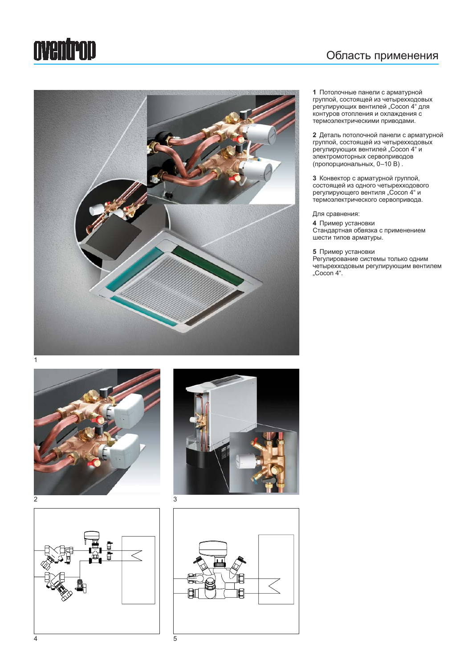## oventrop

#### Область применения



1 Потолочные панели с арматурной группой, состоящей из четырехходовых регулирующих вентилей "Cocon 4" для контуров отопления и охлаждения с термоэлектрическими приводами.

**2** Деталь потолочной панели с арматурной группой, состоящей из четырехходовых регулирующих вентилей "Cocon 4" и электромоторных сервоприводов (пропорциональных, 0–10 В).

**3** Конвектор с арматурной группой, состоящей из одного четырехходового регулирующего вентиля "Cocon 4" и термоэлектрического сервопривода.

Для сравнения:

**4** Пример установки The man yord room шести типов арматуры.

5 Пример установки

Регулирование системы только одним четырехходовым регулирующим вентилем "Cocon 4".